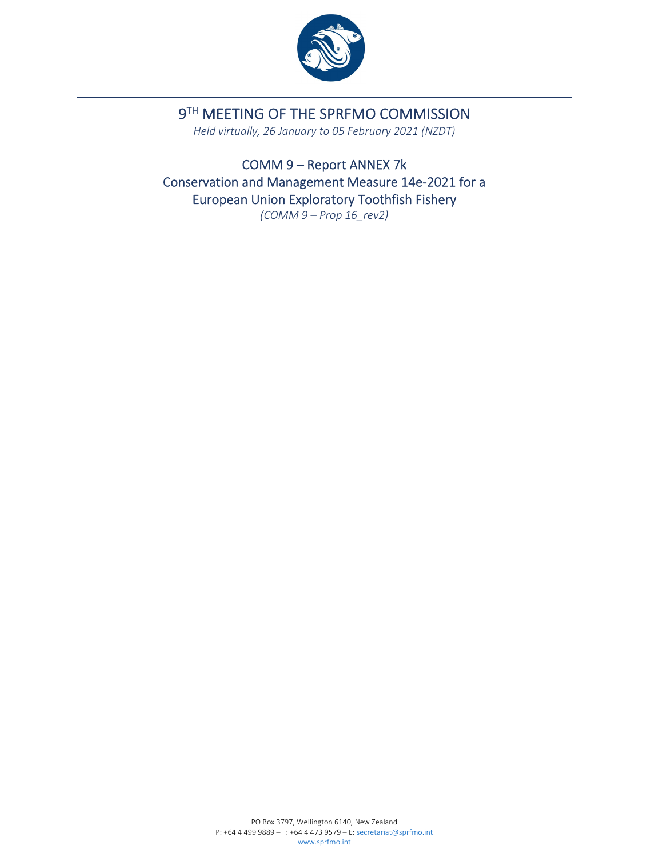

# 9TH MEETING OF THE SPRFMO COMMISSION

*Held virtually, 26 January to 05 February 2021 (NZDT)*

COMM 9 – Report ANNEX 7k Conservation and Management Measure 14e‐2021 for a European Union Exploratory Toothfish Fishery *(COMM 9 – Prop 16\_rev2)*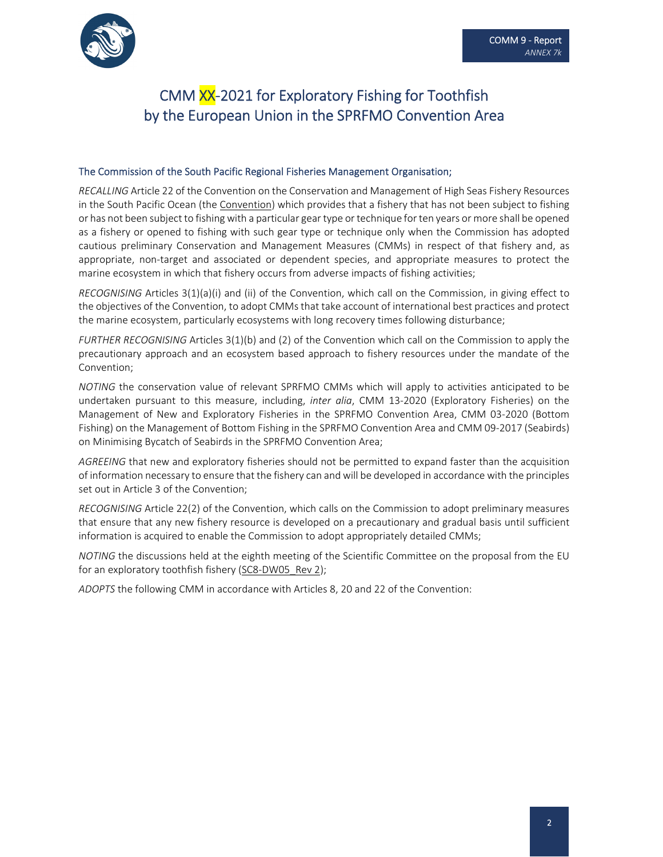

# CMM XX‐2021 for Exploratory Fishing for Toothfish by the European Union in the SPRFMO Convention Area

#### The Commission of the South Pacific Regional Fisheries Management Organisation;

*RECALLING* Article 22 of the Convention on the Conservation and Management of High Seas Fishery Resources in the South Pacific Ocean (the Convention) which provides that a fishery that has not been subject to fishing or has not been subject to fishing with a particular gear type or technique for ten years or more shall be opened as a fishery or opened to fishing with such gear type or technique only when the Commission has adopted cautious preliminary Conservation and Management Measures (CMMs) in respect of that fishery and, as appropriate, non‐target and associated or dependent species, and appropriate measures to protect the marine ecosystem in which that fishery occurs from adverse impacts of fishing activities;

*RECOGNISING* Articles 3(1)(a)(i) and (ii) of the Convention, which call on the Commission, in giving effect to the objectives of the Convention, to adopt CMMs that take account of international best practices and protect the marine ecosystem, particularly ecosystems with long recovery times following disturbance;

*FURTHER RECOGNISING* Articles 3(1)(b) and (2) of the Convention which call on the Commission to apply the precautionary approach and an ecosystem based approach to fishery resources under the mandate of the Convention;

*NOTING* the conservation value of relevant SPRFMO CMMs which will apply to activities anticipated to be undertaken pursuant to this measure, including, *inter alia*, CMM 13‐2020 (Exploratory Fisheries) on the Management of New and Exploratory Fisheries in the SPRFMO Convention Area, CMM 03‐2020 (Bottom Fishing) on the Management of Bottom Fishing in the SPRFMO Convention Area and CMM 09‐2017 (Seabirds) on Minimising Bycatch of Seabirds in the SPRFMO Convention Area;

*AGREEING* that new and exploratory fisheries should not be permitted to expand faster than the acquisition of information necessary to ensure that the fishery can and will be developed in accordance with the principles set out in Article 3 of the Convention;

*RECOGNISING* Article 22(2) of the Convention, which calls on the Commission to adopt preliminary measures that ensure that any new fishery resource is developed on a precautionary and gradual basis until sufficient information is acquired to enable the Commission to adopt appropriately detailed CMMs;

*NOTING* the discussions held at the eighth meeting of the Scientific Committee on the proposal from the EU for an exploratory toothfish fishery (SC8‐DW05\_Rev 2);

*ADOPTS* the following CMM in accordance with Articles 8, 20 and 22 of the Convention: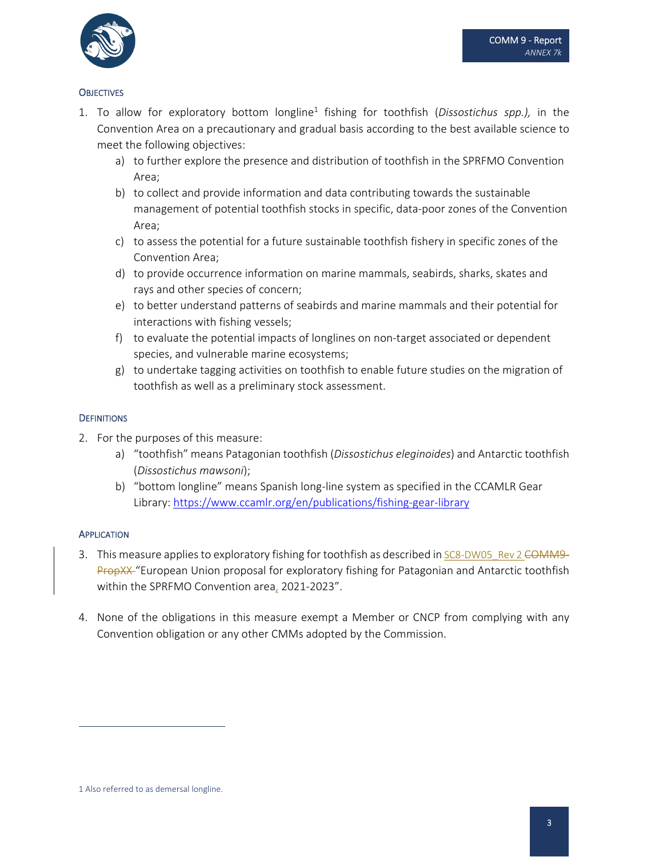

### **OBJECTIVES**

- 1. To allow for exploratory bottom longline1 fishing for toothfish (*Dissostichus spp.),* in the Convention Area on a precautionary and gradual basis according to the best available science to meet the following objectives:
	- a) to further explore the presence and distribution of toothfish in the SPRFMO Convention Area;
	- b) to collect and provide information and data contributing towards the sustainable management of potential toothfish stocks in specific, data‐poor zones of the Convention Area;
	- c) to assess the potential for a future sustainable toothfish fishery in specific zones of the Convention Area;
	- d) to provide occurrence information on marine mammals, seabirds, sharks, skates and rays and other species of concern;
	- e) to better understand patterns of seabirds and marine mammals and their potential for interactions with fishing vessels;
	- f) to evaluate the potential impacts of longlines on non-target associated or dependent species, and vulnerable marine ecosystems;
	- g) to undertake tagging activities on toothfish to enable future studies on the migration of toothfish as well as a preliminary stock assessment.

#### **DEFINITIONS**

- 2. For the purposes of this measure:
	- a) "toothfish" means Patagonian toothfish (*Dissostichus eleginoides*) and Antarctic toothfish (*Dissostichus mawsoni*);
	- b) "bottom longline" means Spanish long‐line system as specified in the CCAMLR Gear Library: https://www.ccamlr.org/en/publications/fishing‐gear‐library

#### **APPLICATION**

- 3. This measure applies to exploratory fishing for toothfish as described in SC8-DW05\_Rev 2 COMM9– PropXX "European Union proposal for exploratory fishing for Patagonian and Antarctic toothfish within the SPRFMO Convention area, 2021-2023".
- 4. None of the obligations in this measure exempt a Member or CNCP from complying with any Convention obligation or any other CMMs adopted by the Commission.

<sup>1</sup> Also referred to as demersal longline.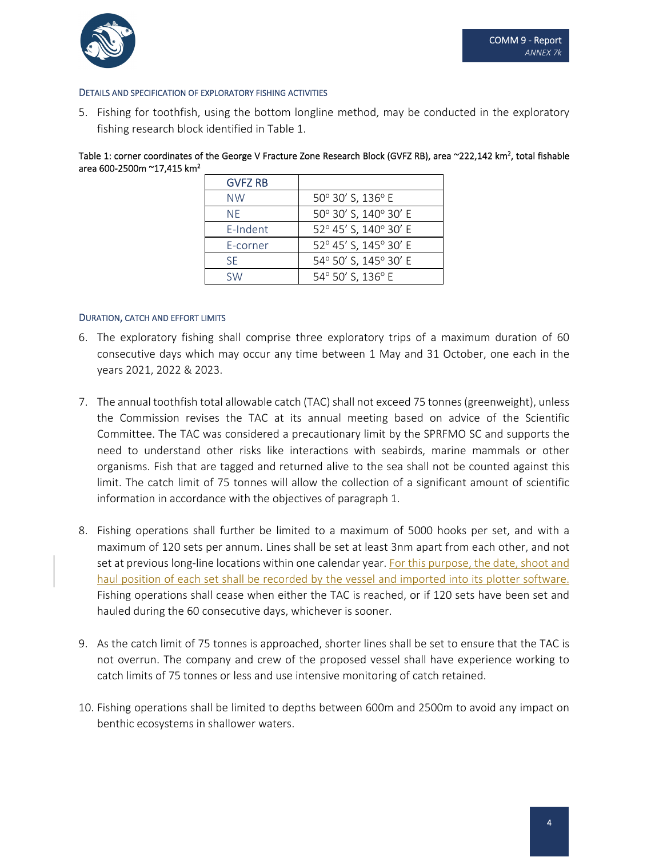

#### DETAILS AND SPECIFICATION OF EXPLORATORY FISHING ACTIVITIES

5. Fishing for toothfish, using the bottom longline method, may be conducted in the exploratory fishing research block identified in Table 1.

Table 1: corner coordinates of the George V Fracture Zone Research Block (GVFZ RB), area ~222,142 km<sup>2</sup>, total fishable area 600‐2500m ~17,415 km2

| <b>GVFZ RB</b> |                       |
|----------------|-----------------------|
| <b>NW</b>      | 50° 30' S, 136° E     |
| NF.            | 50° 30' S, 140° 30' E |
| E-Indent       | 52° 45' S, 140° 30' E |
| E-corner       | 52° 45' S, 145° 30' E |
| <b>SF</b>      | 54° 50' S, 145° 30' E |
| S/M            | 54° 50' S, 136° E     |
|                |                       |

#### DURATION, CATCH AND EFFORT LIMITS

- 6. The exploratory fishing shall comprise three exploratory trips of a maximum duration of 60 consecutive days which may occur any time between 1 May and 31 October, one each in the years 2021, 2022 & 2023.
- 7. The annual toothfish total allowable catch (TAC) shall not exceed 75 tonnes(greenweight), unless the Commission revises the TAC at its annual meeting based on advice of the Scientific Committee. The TAC was considered a precautionary limit by the SPRFMO SC and supports the need to understand other risks like interactions with seabirds, marine mammals or other organisms. Fish that are tagged and returned alive to the sea shall not be counted against this limit. The catch limit of 75 tonnes will allow the collection of a significant amount of scientific information in accordance with the objectives of paragraph 1.
- 8. Fishing operations shall further be limited to a maximum of 5000 hooks per set, and with a maximum of 120 sets per annum. Lines shall be set at least 3nm apart from each other, and not set at previous long-line locations within one calendar year. For this purpose, the date, shoot and haul position of each set shall be recorded by the vessel and imported into its plotter software. Fishing operations shall cease when either the TAC is reached, or if 120 sets have been set and hauled during the 60 consecutive days, whichever is sooner.
- 9. As the catch limit of 75 tonnes is approached, shorter lines shall be set to ensure that the TAC is not overrun. The company and crew of the proposed vessel shall have experience working to catch limits of 75 tonnes or less and use intensive monitoring of catch retained.
- 10. Fishing operations shall be limited to depths between 600m and 2500m to avoid any impact on benthic ecosystems in shallower waters.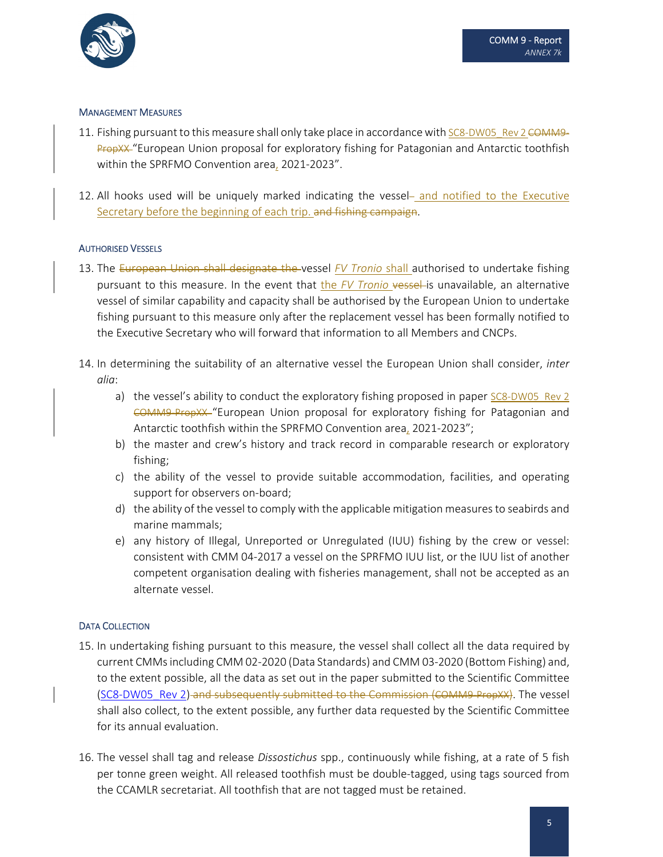

#### MANAGEMENT MEASURES

- 11. Fishing pursuant to this measure shall only take place in accordance with SC8-DW05\_Rev 2 COMM9– PropXX "European Union proposal for exploratory fishing for Patagonian and Antarctic toothfish within the SPRFMO Convention area, 2021‐2023".
- 12. All hooks used will be uniquely marked indicating the vessel- and notified to the Executive Secretary before the beginning of each trip. and fishing campaign.

#### AUTHORISED VESSELS

- 13. The European Union shall designate the vessel *FV Tronio* shall authorised to undertake fishing pursuant to this measure. In the event that the *FV Tronio* vessel is unavailable, an alternative vessel of similar capability and capacity shall be authorised by the European Union to undertake fishing pursuant to this measure only after the replacement vessel has been formally notified to the Executive Secretary who will forward that information to all Members and CNCPs.
- 14. In determining the suitability of an alternative vessel the European Union shall consider, *inter alia*:
	- a) the vessel's ability to conduct the exploratory fishing proposed in paper  $SC8-DW05$  Rev 2 COMM9‐PropXX "European Union proposal for exploratory fishing for Patagonian and Antarctic toothfish within the SPRFMO Convention area, 2021-2023";
	- b) the master and crew's history and track record in comparable research or exploratory fishing;
	- c) the ability of the vessel to provide suitable accommodation, facilities, and operating support for observers on‐board;
	- d) the ability of the vessel to comply with the applicable mitigation measures to seabirds and marine mammals;
	- e) any history of Illegal, Unreported or Unregulated (IUU) fishing by the crew or vessel: consistent with CMM 04‐2017 a vessel on the SPRFMO IUU list, or the IUU list of another competent organisation dealing with fisheries management, shall not be accepted as an alternate vessel.

#### DATA COLLECTION

- 15. In undertaking fishing pursuant to this measure, the vessel shall collect all the data required by current CMMsincluding CMM 02‐2020 (Data Standards) and CMM 03‐2020 (Bottom Fishing) and, to the extent possible, all the data as set out in the paper submitted to the Scientific Committee (SC8-DW05 Rev 2) and subsequently submitted to the Commission (COMM9-PropXX). The vessel shall also collect, to the extent possible, any further data requested by the Scientific Committee for its annual evaluation.
- 16. The vessel shall tag and release *Dissostichus* spp., continuously while fishing, at a rate of 5 fish per tonne green weight. All released toothfish must be double‐tagged, using tags sourced from the CCAMLR secretariat. All toothfish that are not tagged must be retained.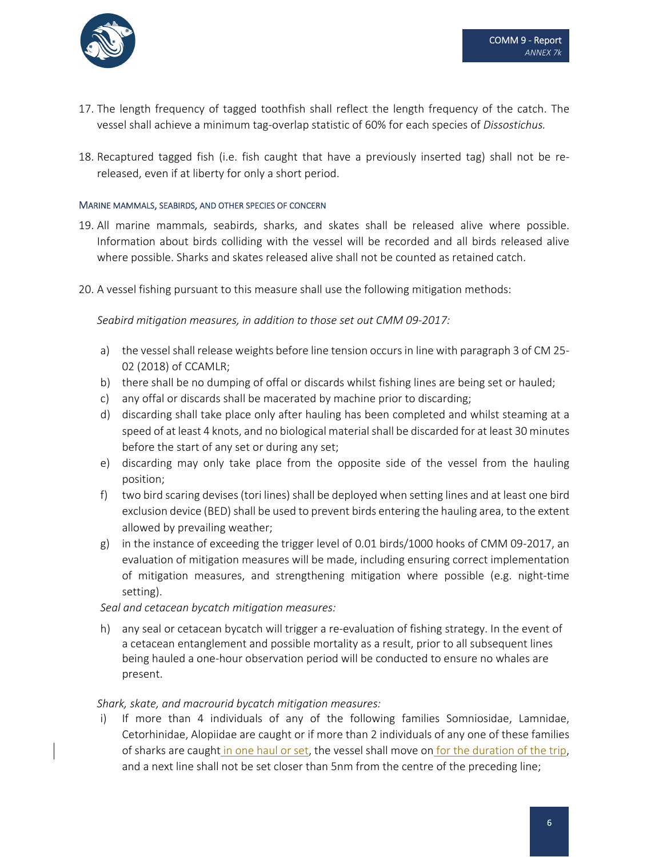

- 17. The length frequency of tagged toothfish shall reflect the length frequency of the catch. The vessel shall achieve a minimum tag‐overlap statistic of 60% for each species of *Dissostichus.*
- 18. Recaptured tagged fish (i.e. fish caught that have a previously inserted tag) shall not be re‐ released, even if at liberty for only a short period.

#### MARINE MAMMALS, SEABIRDS, AND OTHER SPECIES OF CONCERN

- 19. All marine mammals, seabirds, sharks, and skates shall be released alive where possible. Information about birds colliding with the vessel will be recorded and all birds released alive where possible. Sharks and skates released alive shall not be counted as retained catch.
- 20. A vessel fishing pursuant to this measure shall use the following mitigation methods:

*Seabird mitigation measures, in addition to those set out CMM 09‐2017:*

- a) the vessel shall release weights before line tension occurs in line with paragraph 3 of CM 25-02 (2018) of CCAMLR;
- b) there shall be no dumping of offal or discards whilst fishing lines are being set or hauled;
- c) any offal or discards shall be macerated by machine prior to discarding;
- d) discarding shall take place only after hauling has been completed and whilst steaming at a speed of at least 4 knots, and no biological material shall be discarded for at least 30 minutes before the start of any set or during any set;
- e) discarding may only take place from the opposite side of the vessel from the hauling position;
- f) two bird scaring devises(tori lines) shall be deployed when setting lines and at least one bird exclusion device (BED) shall be used to prevent birds entering the hauling area, to the extent allowed by prevailing weather;
- g) in the instance of exceeding the trigger level of 0.01 birds/1000 hooks of CMM 09‐2017, an evaluation of mitigation measures will be made, including ensuring correct implementation of mitigation measures, and strengthening mitigation where possible (e.g. night‐time setting).

*Seal and cetacean bycatch mitigation measures:*

h) any seal or cetacean bycatch will trigger a re-evaluation of fishing strategy. In the event of a cetacean entanglement and possible mortality as a result, prior to all subsequent lines being hauled a one‐hour observation period will be conducted to ensure no whales are present.

#### *Shark, skate, and macrourid bycatch mitigation measures:*

i) If more than 4 individuals of any of the following families Somniosidae, Lamnidae, Cetorhinidae, Alopiidae are caught or if more than 2 individuals of any one of these families of sharks are caught in one haul or set, the vessel shall move on for the duration of the trip, and a next line shall not be set closer than 5nm from the centre of the preceding line;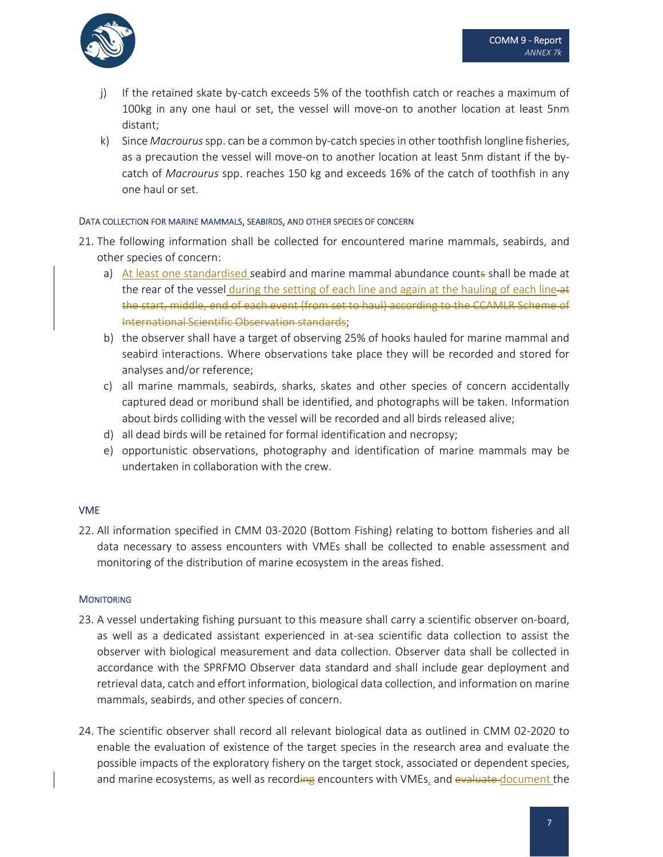- j) If the retained skate by‐catch exceeds 5% of the toothfish catch or reaches a maximum of 100kg in any one haul or set, the vessel will move‐on to another location at least 5nm distant;
- k) Since *Macrourus*spp. can be a common by‐catch speciesin other toothfish longline fisheries, as a precaution the vessel will move-on to another location at least 5nm distant if the bycatch of *Macrourus* spp. reaches 150 kg and exceeds 16% of the catch of toothfish in any one haul or set.

#### DATA COLLECTION FOR MARINE MAMMALS, SEABIRDS, AND OTHER SPECIES OF CONCERN

- 21. The following information shall be collected for encountered marine mammals, seabirds, and other species of concern:
	- a) At least one standardised seabird and marine mammal abundance counts shall be made at the rear of the vessel during the setting of each line and again at the hauling of each line-at the start, middle, end of each event (from set to haul) according to the CCAMLR Scheme of International Scientific Observation standards;
	- b) the observer shall have a target of observing 25% of hooks hauled for marine mammal and seabird interactions. Where observations take place they will be recorded and stored for analyses and/or reference;
	- c) all marine mammals, seabirds, sharks, skates and other species of concern accidentally captured dead or moribund shall be identified, and photographs will be taken. Information about birds colliding with the vessel will be recorded and all birds released alive;
	- d) all dead birds will be retained for formal identification and necropsy;
	- e) opportunistic observations, photography and identification of marine mammals may be undertaken in collaboration with the crew.

# VME

22. All information specified in CMM 03-2020 (Bottom Fishing) relating to bottom fisheries and all data necessary to assess encounters with VMEs shall be collected to enable assessment and monitoring of the distribution of marine ecosystem in the areas fished.

# **MONITORING**

- 23. A vessel undertaking fishing pursuant to this measure shall carry a scientific observer on‐board, as well as a dedicated assistant experienced in at‐sea scientific data collection to assist the observer with biological measurement and data collection. Observer data shall be collected in accordance with the SPRFMO Observer data standard and shall include gear deployment and retrieval data, catch and effort information, biological data collection, and information on marine mammals, seabirds, and other species of concern.
- 24. The scientific observer shall record all relevant biological data as outlined in CMM 02‐2020 to enable the evaluation of existence of the target species in the research area and evaluate the possible impacts of the exploratory fishery on the target stock, associated or dependent species, and marine ecosystems, as well as recording encounters with VMEs, and evaluate document the